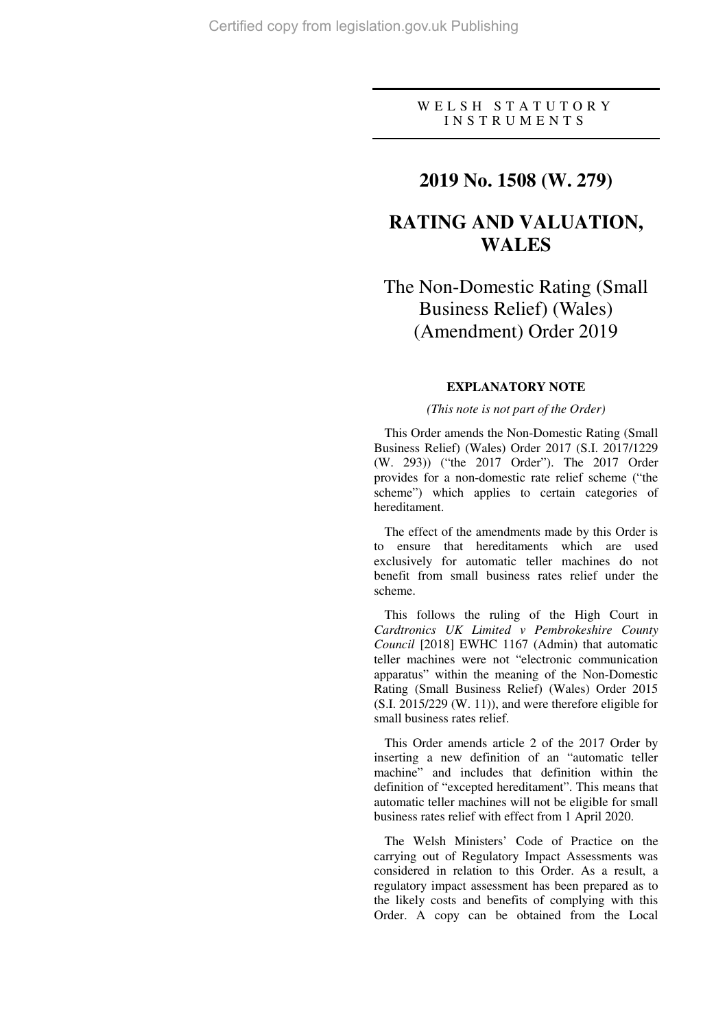### W E L S H S T A T U T O R Y I N S T R U M E N T S

### **2019 No. 1508 (W. 279)**

## **RATING AND VALUATION, WALES**

## The Non-Domestic Rating (Small Business Relief) (Wales) (Amendment) Order 2019

#### **EXPLANATORY NOTE**

### *(This note is not part of the Order)*

This Order amends the Non-Domestic Rating (Small Business Relief) (Wales) Order 2017 (S.I. 2017/1229 (W. 293)) ("the 2017 Order"). The 2017 Order provides for a non-domestic rate relief scheme ("the scheme") which applies to certain categories of hereditament.

The effect of the amendments made by this Order is to ensure that hereditaments which are used exclusively for automatic teller machines do not benefit from small business rates relief under the scheme.

This follows the ruling of the High Court in *Cardtronics UK Limited v Pembrokeshire County Council* [2018] EWHC 1167 (Admin) that automatic teller machines were not "electronic communication apparatus" within the meaning of the Non-Domestic Rating (Small Business Relief) (Wales) Order 2015 (S.I. 2015/229 (W. 11)), and were therefore eligible for small business rates relief.

This Order amends article 2 of the 2017 Order by inserting a new definition of an "automatic teller machine" and includes that definition within the definition of "excepted hereditament". This means that automatic teller machines will not be eligible for small business rates relief with effect from 1 April 2020.

The Welsh Ministers' Code of Practice on the carrying out of Regulatory Impact Assessments was considered in relation to this Order. As a result, a regulatory impact assessment has been prepared as to the likely costs and benefits of complying with this Order. A copy can be obtained from the Local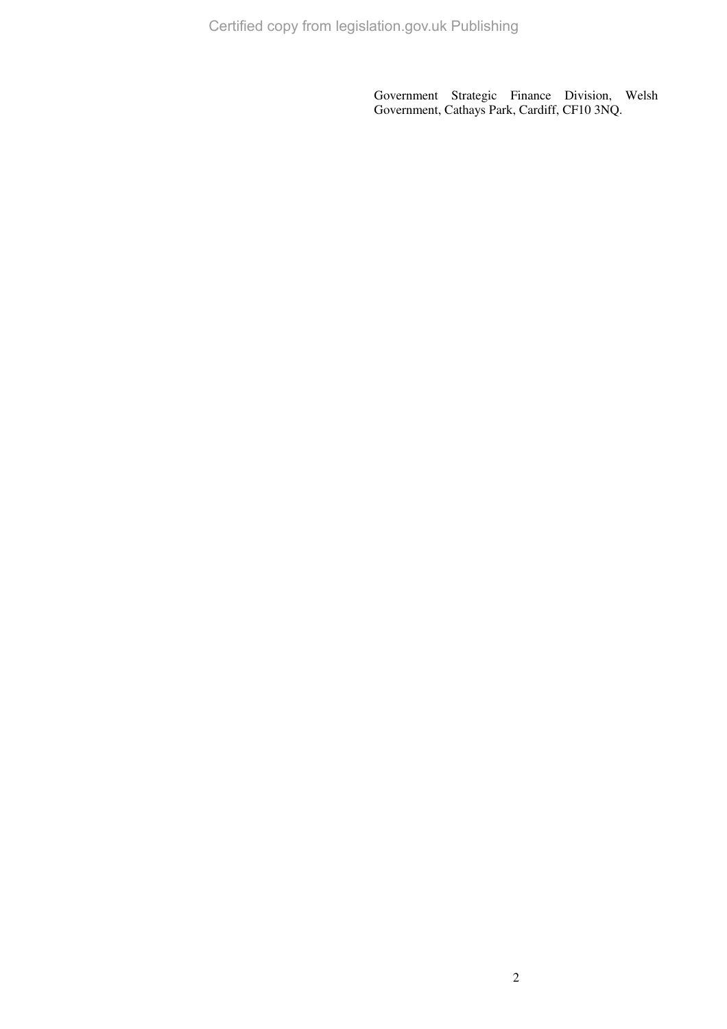Government Strategic Finance Division, Welsh Government, Cathays Park, Cardiff, CF10 3NQ.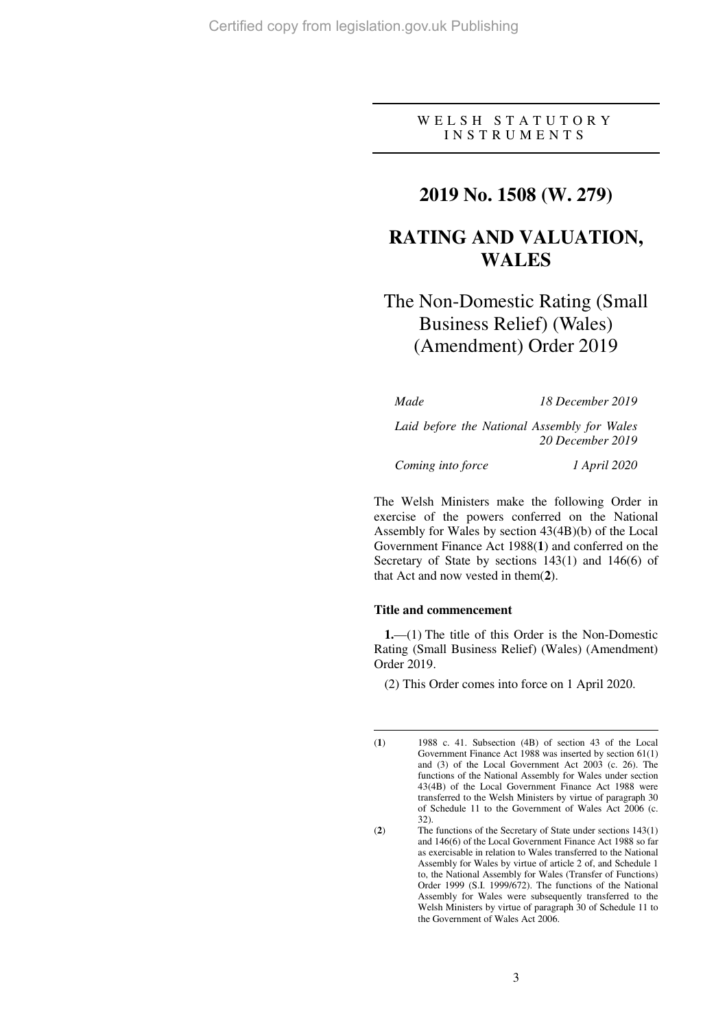### WELSH STATUTORY I N S T R U M E N T S

## **2019 No. 1508 (W. 279)**

## **RATING AND VALUATION, WALES**

# The Non-Domestic Rating (Small Business Relief) (Wales) (Amendment) Order 2019

*Made 18 December 2019* 

*Laid before the National Assembly for Wales 20 December 2019* 

*Coming into force 1 April 2020* 

The Welsh Ministers make the following Order in exercise of the powers conferred on the National Assembly for Wales by section 43(4B)(b) of the Local Government Finance Act 1988(**1**) and conferred on the Secretary of State by sections 143(1) and 146(6) of that Act and now vested in them(**2**).

#### **Title and commencement**

 $\overline{a}$ 

**1.**—(1) The title of this Order is the Non-Domestic Rating (Small Business Relief) (Wales) (Amendment) Order 2019.

(2) This Order comes into force on 1 April 2020.

<sup>(</sup>**1**) 1988 c. 41. Subsection (4B) of section 43 of the Local Government Finance Act 1988 was inserted by section 61(1) and (3) of the Local Government Act 2003 (c. 26). The functions of the National Assembly for Wales under section 43(4B) of the Local Government Finance Act 1988 were transferred to the Welsh Ministers by virtue of paragraph 30 of Schedule 11 to the Government of Wales Act 2006 (c. 32).

<sup>(</sup>**2**) The functions of the Secretary of State under sections 143(1) and 146(6) of the Local Government Finance Act 1988 so far as exercisable in relation to Wales transferred to the National Assembly for Wales by virtue of article 2 of, and Schedule 1 to, the National Assembly for Wales (Transfer of Functions) Order 1999 (S.I. 1999/672). The functions of the National Assembly for Wales were subsequently transferred to the Welsh Ministers by virtue of paragraph 30 of Schedule 11 to the Government of Wales Act 2006.